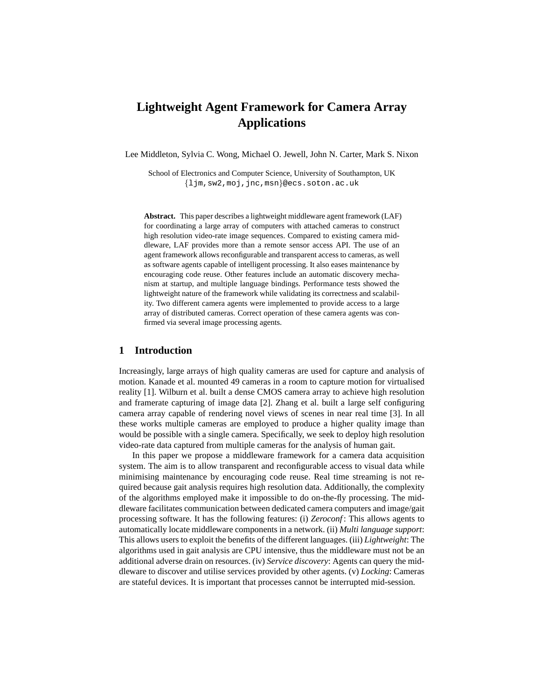# **Lightweight Agent Framework for Camera Array Applications**

Lee Middleton, Sylvia C. Wong, Michael O. Jewell, John N. Carter, Mark S. Nixon

School of Electronics and Computer Science, University of Southampton, UK {ljm,sw2,moj,jnc,msn}@ecs.soton.ac.uk

**Abstract.** This paper describes a lightweight middleware agent framework (LAF) for coordinating a large array of computers with attached cameras to construct high resolution video-rate image sequences. Compared to existing camera middleware, LAF provides more than a remote sensor access API. The use of an agent framework allows reconfigurable and transparent access to cameras, as well as software agents capable of intelligent processing. It also eases maintenance by encouraging code reuse. Other features include an automatic discovery mechanism at startup, and multiple language bindings. Performance tests showed the lightweight nature of the framework while validating its correctness and scalability. Two different camera agents were implemented to provide access to a large array of distributed cameras. Correct operation of these camera agents was confirmed via several image processing agents.

## **1 Introduction**

Increasingly, large arrays of high quality cameras are used for capture and analysis of motion. Kanade et al. mounted 49 cameras in a room to capture motion for virtualised reality [1]. Wilburn et al. built a dense CMOS camera array to achieve high resolution and framerate capturing of image data [2]. Zhang et al. built a large self configuring camera array capable of rendering novel views of scenes in near real time [3]. In all these works multiple cameras are employed to produce a higher quality image than would be possible with a single camera. Specifically, we seek to deploy high resolution video-rate data captured from multiple cameras for the analysis of human gait.

In this paper we propose a middleware framework for a camera data acquisition system. The aim is to allow transparent and reconfigurable access to visual data while minimising maintenance by encouraging code reuse. Real time streaming is not required because gait analysis requires high resolution data. Additionally, the complexity of the algorithms employed make it impossible to do on-the-fly processing. The middleware facilitates communication between dedicated camera computers and image/gait processing software. It has the following features: (i) *Zeroconf* : This allows agents to automatically locate middleware components in a network. (ii) *Multi language support*: This allows users to exploit the benefits of the different languages. (iii) *Lightweight*: The algorithms used in gait analysis are CPU intensive, thus the middleware must not be an additional adverse drain on resources. (iv) *Service discovery*: Agents can query the middleware to discover and utilise services provided by other agents. (v) *Locking*: Cameras are stateful devices. It is important that processes cannot be interrupted mid-session.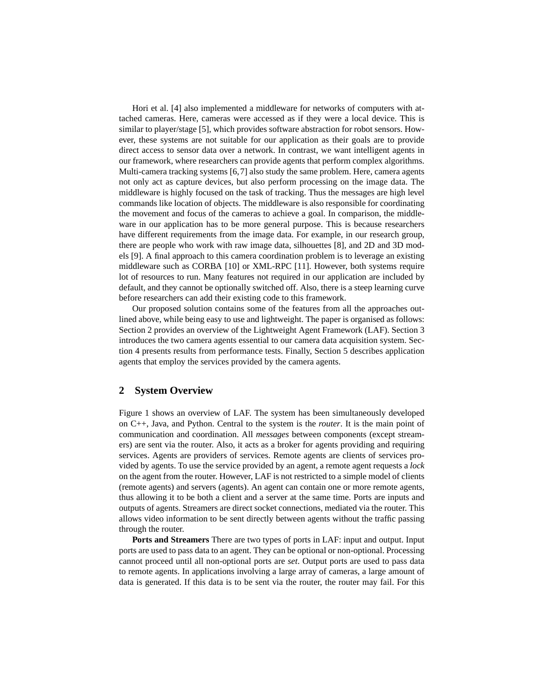Hori et al. [4] also implemented a middleware for networks of computers with attached cameras. Here, cameras were accessed as if they were a local device. This is similar to player/stage [5], which provides software abstraction for robot sensors. However, these systems are not suitable for our application as their goals are to provide direct access to sensor data over a network. In contrast, we want intelligent agents in our framework, where researchers can provide agents that perform complex algorithms. Multi-camera tracking systems [6,7] also study the same problem. Here, camera agents not only act as capture devices, but also perform processing on the image data. The middleware is highly focused on the task of tracking. Thus the messages are high level commands like location of objects. The middleware is also responsible for coordinating the movement and focus of the cameras to achieve a goal. In comparison, the middleware in our application has to be more general purpose. This is because researchers have different requirements from the image data. For example, in our research group, there are people who work with raw image data, silhouettes [8], and 2D and 3D models [9]. A final approach to this camera coordination problem is to leverage an existing middleware such as CORBA [10] or XML-RPC [11]. However, both systems require lot of resources to run. Many features not required in our application are included by default, and they cannot be optionally switched off. Also, there is a steep learning curve before researchers can add their existing code to this framework.

Our proposed solution contains some of the features from all the approaches outlined above, while being easy to use and lightweight. The paper is organised as follows: Section 2 provides an overview of the Lightweight Agent Framework (LAF). Section 3 introduces the two camera agents essential to our camera data acquisition system. Section 4 presents results from performance tests. Finally, Section 5 describes application agents that employ the services provided by the camera agents.

#### **2 System Overview**

Figure 1 shows an overview of LAF. The system has been simultaneously developed on C++, Java, and Python. Central to the system is the *router*. It is the main point of communication and coordination. All *messages* between components (except streamers) are sent via the router. Also, it acts as a broker for agents providing and requiring services. Agents are providers of services. Remote agents are clients of services provided by agents. To use the service provided by an agent, a remote agent requests a *lock* on the agent from the router. However, LAF is not restricted to a simple model of clients (remote agents) and servers (agents). An agent can contain one or more remote agents, thus allowing it to be both a client and a server at the same time. Ports are inputs and outputs of agents. Streamers are direct socket connections, mediated via the router. This allows video information to be sent directly between agents without the traffic passing through the router.

**Ports and Streamers** There are two types of ports in LAF: input and output. Input ports are used to pass data to an agent. They can be optional or non-optional. Processing cannot proceed until all non-optional ports are *set*. Output ports are used to pass data to remote agents. In applications involving a large array of cameras, a large amount of data is generated. If this data is to be sent via the router, the router may fail. For this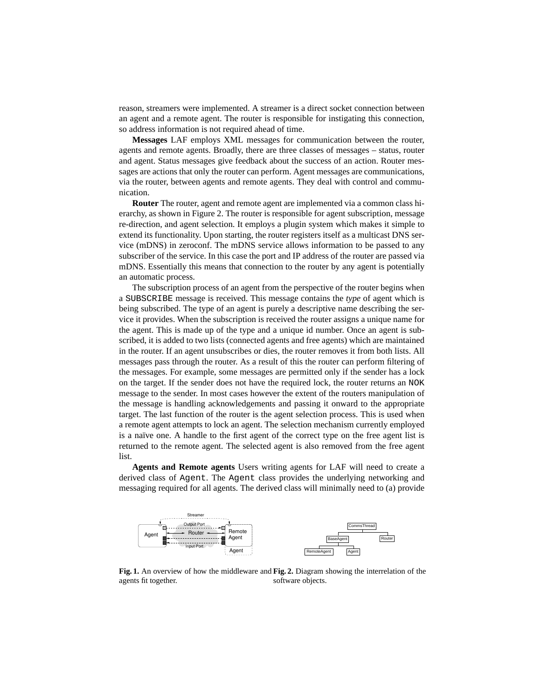reason, streamers were implemented. A streamer is a direct socket connection between an agent and a remote agent. The router is responsible for instigating this connection, so address information is not required ahead of time.

**Messages** LAF employs XML messages for communication between the router, agents and remote agents. Broadly, there are three classes of messages – status, router and agent. Status messages give feedback about the success of an action. Router messages are actions that only the router can perform. Agent messages are communications, via the router, between agents and remote agents. They deal with control and communication.

**Router** The router, agent and remote agent are implemented via a common class hierarchy, as shown in Figure 2. The router is responsible for agent subscription, message re-direction, and agent selection. It employs a plugin system which makes it simple to extend its functionality. Upon starting, the router registers itself as a multicast DNS service (mDNS) in zeroconf. The mDNS service allows information to be passed to any subscriber of the service. In this case the port and IP address of the router are passed via mDNS. Essentially this means that connection to the router by any agent is potentially an automatic process.

The subscription process of an agent from the perspective of the router begins when a SUBSCRIBE message is received. This message contains the *type* of agent which is being subscribed. The type of an agent is purely a descriptive name describing the service it provides. When the subscription is received the router assigns a unique name for the agent. This is made up of the type and a unique id number. Once an agent is subscribed, it is added to two lists (connected agents and free agents) which are maintained in the router. If an agent unsubscribes or dies, the router removes it from both lists. All messages pass through the router. As a result of this the router can perform filtering of the messages. For example, some messages are permitted only if the sender has a lock on the target. If the sender does not have the required lock, the router returns an NOK message to the sender. In most cases however the extent of the routers manipulation of the message is handling acknowledgements and passing it onward to the appropriate target. The last function of the router is the agent selection process. This is used when a remote agent attempts to lock an agent. The selection mechanism currently employed is a naïve one. A handle to the first agent of the correct type on the free agent list is returned to the remote agent. The selected agent is also removed from the free agent list.

**Agents and Remote agents** Users writing agents for LAF will need to create a derived class of Agent. The Agent class provides the underlying networking and messaging required for all agents. The derived class will minimally need to (a) provide



**Fig. 1.** An overview of how the middleware and **Fig. 2.** Diagram showing the interrelation of the agents fit together. software objects.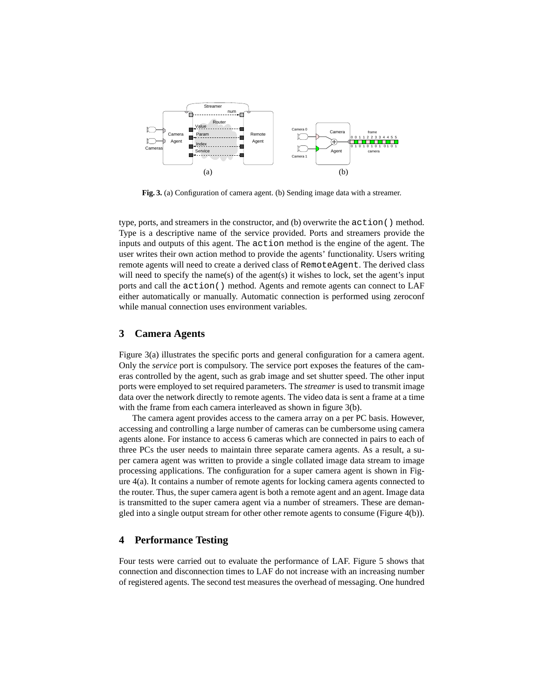

**Fig. 3.** (a) Configuration of camera agent. (b) Sending image data with a streamer.

type, ports, and streamers in the constructor, and (b) overwrite the action() method. Type is a descriptive name of the service provided. Ports and streamers provide the inputs and outputs of this agent. The action method is the engine of the agent. The user writes their own action method to provide the agents' functionality. Users writing remote agents will need to create a derived class of RemoteAgent. The derived class will need to specify the name(s) of the agent(s) it wishes to lock, set the agent's input ports and call the action() method. Agents and remote agents can connect to LAF either automatically or manually. Automatic connection is performed using zeroconf while manual connection uses environment variables.

#### **3 Camera Agents**

Figure 3(a) illustrates the specific ports and general configuration for a camera agent. Only the *service* port is compulsory. The service port exposes the features of the cameras controlled by the agent, such as grab image and set shutter speed. The other input ports were employed to set required parameters. The *streamer* is used to transmit image data over the network directly to remote agents. The video data is sent a frame at a time with the frame from each camera interleaved as shown in figure 3(b).

The camera agent provides access to the camera array on a per PC basis. However, accessing and controlling a large number of cameras can be cumbersome using camera agents alone. For instance to access 6 cameras which are connected in pairs to each of three PCs the user needs to maintain three separate camera agents. As a result, a super camera agent was written to provide a single collated image data stream to image processing applications. The configuration for a super camera agent is shown in Figure 4(a). It contains a number of remote agents for locking camera agents connected to the router. Thus, the super camera agent is both a remote agent and an agent. Image data is transmitted to the super camera agent via a number of streamers. These are demangled into a single output stream for other other remote agents to consume (Figure 4(b)).

## **4 Performance Testing**

Four tests were carried out to evaluate the performance of LAF. Figure 5 shows that connection and disconnection times to LAF do not increase with an increasing number of registered agents. The second test measures the overhead of messaging. One hundred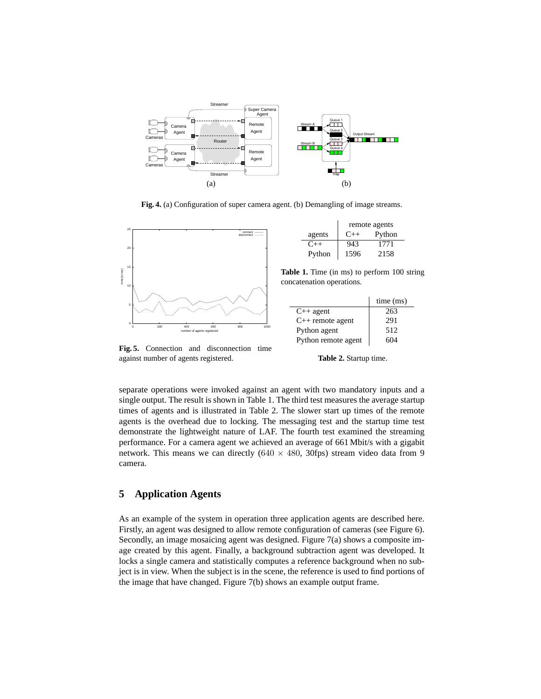

**Fig. 4.** (a) Configuration of super camera agent. (b) Demangling of image streams.



|        | remote agents |        |
|--------|---------------|--------|
| agents | $C++$         | Python |
| $C++$  | 943           | 1771   |
| Python | 1596          | 2158   |

**Table 1.** Time (in ms) to perform 100 string concatenation operations.

|                     | time (ms) |
|---------------------|-----------|
| $C++$ agent         | 263       |
| $C++$ remote agent  | 291       |
| Python agent        | 512       |
| Python remote agent | 604       |

**Fig. 5.** Connection and disconnection time against number of agents registered.

**Table 2.** Startup time.

separate operations were invoked against an agent with two mandatory inputs and a single output. The result is shown in Table 1. The third test measures the average startup times of agents and is illustrated in Table 2. The slower start up times of the remote agents is the overhead due to locking. The messaging test and the startup time test demonstrate the lightweight nature of LAF. The fourth test examined the streaming performance. For a camera agent we achieved an average of 661 Mbit/s with a gigabit network. This means we can directly  $(640 \times 480, 30$ fps) stream video data from 9 camera.

## **5 Application Agents**

As an example of the system in operation three application agents are described here. Firstly, an agent was designed to allow remote configuration of cameras (see Figure 6). Secondly, an image mosaicing agent was designed. Figure 7(a) shows a composite image created by this agent. Finally, a background subtraction agent was developed. It locks a single camera and statistically computes a reference background when no subject is in view. When the subject is in the scene, the reference is used to find portions of the image that have changed. Figure 7(b) shows an example output frame.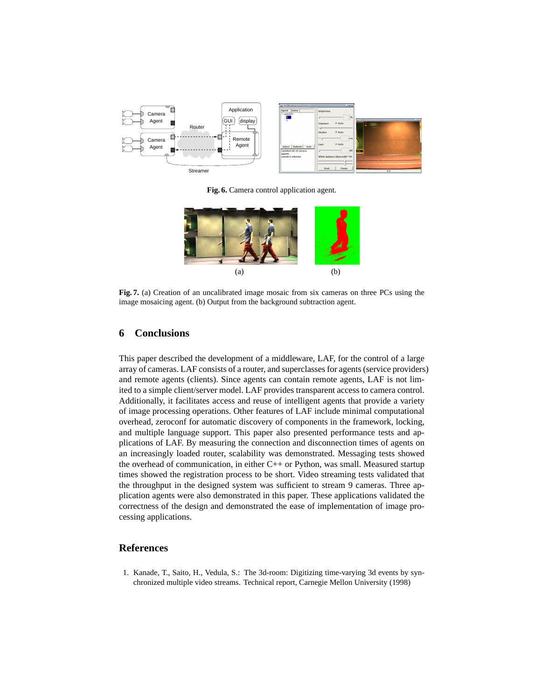

**Fig. 6.** Camera control application agent.



**Fig. 7.** (a) Creation of an uncalibrated image mosaic from six cameras on three PCs using the image mosaicing agent. (b) Output from the background subtraction agent.

#### **6 Conclusions**

This paper described the development of a middleware, LAF, for the control of a large array of cameras. LAF consists of a router, and superclasses for agents (service providers) and remote agents (clients). Since agents can contain remote agents, LAF is not limited to a simple client/server model. LAF provides transparent access to camera control. Additionally, it facilitates access and reuse of intelligent agents that provide a variety of image processing operations. Other features of LAF include minimal computational overhead, zeroconf for automatic discovery of components in the framework, locking, and multiple language support. This paper also presented performance tests and applications of LAF. By measuring the connection and disconnection times of agents on an increasingly loaded router, scalability was demonstrated. Messaging tests showed the overhead of communication, in either C++ or Python, was small. Measured startup times showed the registration process to be short. Video streaming tests validated that the throughput in the designed system was sufficient to stream 9 cameras. Three application agents were also demonstrated in this paper. These applications validated the correctness of the design and demonstrated the ease of implementation of image processing applications.

## **References**

1. Kanade, T., Saito, H., Vedula, S.: The 3d-room: Digitizing time-varying 3d events by synchronized multiple video streams. Technical report, Carnegie Mellon University (1998)